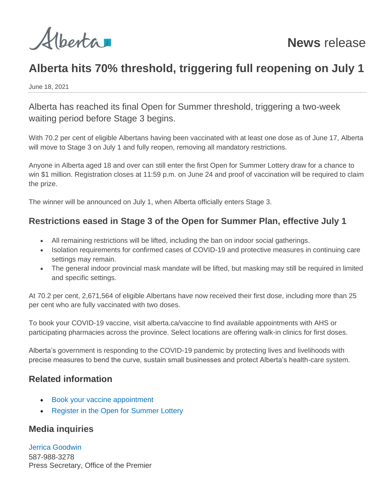

# **Alberta hits 70% threshold, triggering full reopening on July 1**

June 18, 2021

Alberta has reached its final Open for Summer threshold, triggering a two-week waiting period before Stage 3 begins.

With 70.2 per cent of eligible Albertans having been vaccinated with at least one dose as of June 17, Alberta will move to Stage 3 on July 1 and fully reopen, removing all mandatory restrictions.

Anyone in Alberta aged 18 and over can still enter the first Open for Summer Lottery draw for a chance to win \$1 million. Registration closes at 11:59 p.m. on June 24 and proof of vaccination will be required to claim the prize.

The winner will be announced on July 1, when Alberta officially enters Stage 3.

# **Restrictions eased in Stage 3 of the Open for Summer Plan, effective July 1**

- All remaining restrictions will be lifted, including the ban on indoor social gatherings.
- Isolation requirements for confirmed cases of COVID-19 and protective measures in continuing care settings may remain.
- The general indoor provincial mask mandate will be lifted, but masking may still be required in limited and specific settings.

At 70.2 per cent, 2,671,564 of eligible Albertans have now received their first dose, including more than 25 per cent who are fully vaccinated with two doses.

To book your COVID-19 vaccine, visit alberta.ca/vaccine to find available appointments with AHS or participating pharmacies across the province. Select locations are offering walk-in clinics for first doses.

Alberta's government is responding to the COVID-19 pandemic by protecting lives and livelihoods with precise measures to bend the curve, sustain small businesses and protect Alberta's health-care system.

### **Related information**

- [Book your vaccine appointment](https://www.alberta.ca/covid19-vaccine.aspx)
- [Register in the Open for Summer Lottery](https://www.alberta.ca/open-for-summer-lottery.aspx)

# **Media inquiries**

[Jerrica Goodwin](mailto:jerrica.goodwin@gov.ab.ca) 587-988-3278 Press Secretary, Office of the Premier